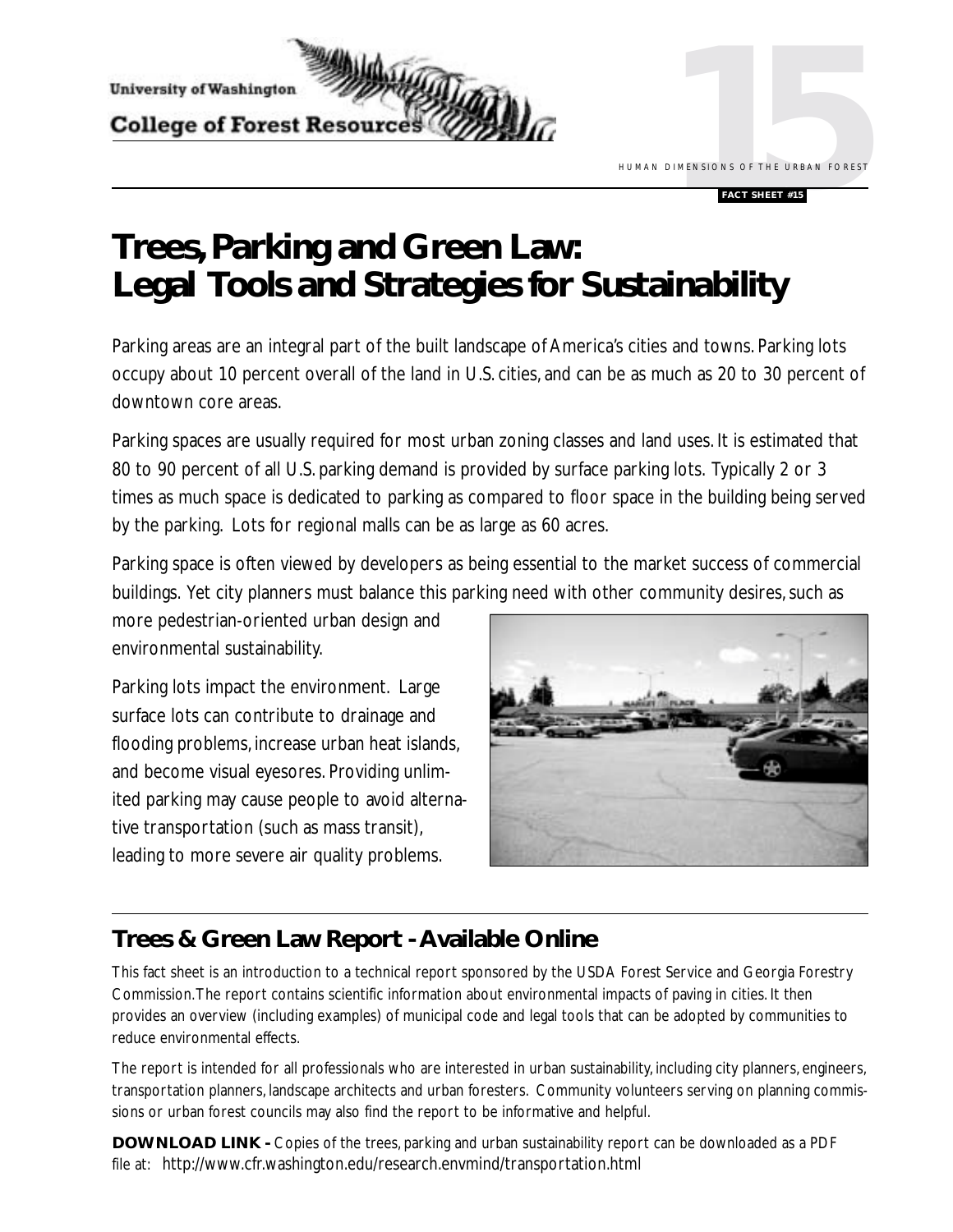

**DIMENSIONS OF THE URBAN FORES** HUMAN DIMENSIONS OF THE URBAN FOREST

#### **FACT SHEET #15**

# **Trees, Parking and Green Law: Legal Tools and Strategies for Sustainability**

Parking areas are an integral part of the built landscape of America's cities and towns. Parking lots occupy about 10 percent overall of the land in U.S. cities, and can be as much as 20 to 30 percent of downtown core areas.

Parking spaces are usually required for most urban zoning classes and land uses. It is estimated that 80 to 90 percent of all U.S. parking demand is provided by surface parking lots. Typically 2 or 3 times as much space is dedicated to parking as compared to floor space in the building being served by the parking. Lots for regional malls can be as large as 60 acres.

Parking space is often viewed by developers as being essential to the market success of commercial buildings. Yet city planners must balance this parking need with other community desires, such as

more pedestrian-oriented urban design and environmental sustainability.

Parking lots impact the environment. Large surface lots can contribute to drainage and flooding problems, increase urban heat islands, and become visual eyesores. Providing unlimited parking may cause people to avoid alternative transportation (such as mass transit), leading to more severe air quality problems.



## **Trees & Green Law Report - Available Online**

This fact sheet is an introduction to a technical report sponsored by the USDA Forest Service and Georgia Forestry Commission. The report contains scientific information about environmental impacts of paving in cities. It then provides an overview (including examples) of municipal code and legal tools that can be adopted by communities to reduce environmental effects.

The report is intended for all professionals who are interested in urban sustainability, including city planners, engineers, transportation planners, landscape architects and urban foresters. Community volunteers serving on planning commissions or urban forest councils may also find the report to be informative and helpful.

**DOWNLOAD LINK -** Copies of the trees, parking and urban sustainability report can be downloaded as a PDF file at: http://www.cfr.washington.edu/research.envmind/transportation.html